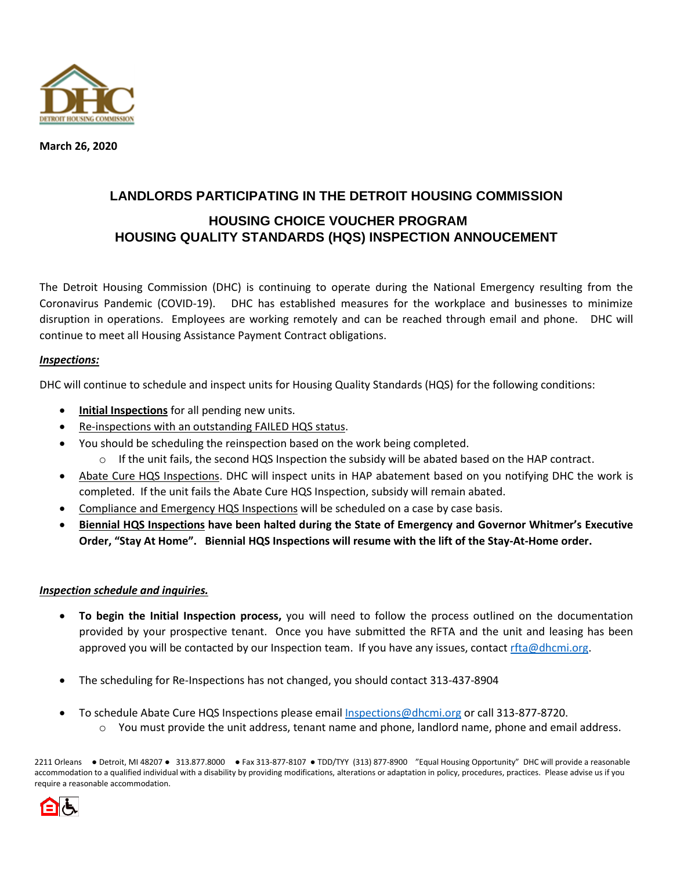

**March 26, 2020**

## **LANDLORDS PARTICIPATING IN THE DETROIT HOUSING COMMISSION HOUSING CHOICE VOUCHER PROGRAM HOUSING QUALITY STANDARDS (HQS) INSPECTION ANNOUCEMENT**

The Detroit Housing Commission (DHC) is continuing to operate during the National Emergency resulting from the Coronavirus Pandemic (COVID-19). DHC has established measures for the workplace and businesses to minimize disruption in operations. Employees are working remotely and can be reached through email and phone. DHC will continue to meet all Housing Assistance Payment Contract obligations.

## *Inspections:*

DHC will continue to schedule and inspect units for Housing Quality Standards (HQS) for the following conditions:

- **Initial Inspections** for all pending new units.
- Re-inspections with an outstanding FAILED HQS status.
- You should be scheduling the reinspection based on the work being completed.
	- $\circ$  If the unit fails, the second HQS Inspection the subsidy will be abated based on the HAP contract.
- Abate Cure HQS Inspections. DHC will inspect units in HAP abatement based on you notifying DHC the work is completed. If the unit fails the Abate Cure HQS Inspection, subsidy will remain abated.
- Compliance and Emergency HQS Inspections will be scheduled on a case by case basis.
- **Biennial HQS Inspections have been halted during the State of Emergency and Governor Whitmer's Executive Order, "Stay At Home". Biennial HQS Inspections will resume with the lift of the Stay-At-Home order.**

## *Inspection schedule and inquiries.*

- **To begin the Initial Inspection process,** you will need to follow the process outlined on the documentation provided by your prospective tenant. Once you have submitted the RFTA and the unit and leasing has been approved you will be contacted by our Inspection team. If you have any issues, contact [rfta@dhcmi.org.](mailto:rfta@dhcmi.org)
- The scheduling for Re-Inspections has not changed, you should contact 313-437-8904
- To schedule Abate Cure HQS Inspections please email [Inspections@dhcmi.org](mailto:Inspections@dhcmi.org) or call 313-877-8720.
	- $\circ$  You must provide the unit address, tenant name and phone, landlord name, phone and email address.

2211 Orleans ● Detroit, MI 48207 ● 313.877.8000 ● Fax 313-877-8107 ● TDD/TYY (313) 877-8900 "Equal Housing Opportunity" DHC will provide a reasonable accommodation to a qualified individual with a disability by providing modifications, alterations or adaptation in policy, procedures, practices. Please advise us if you require a reasonable accommodation.